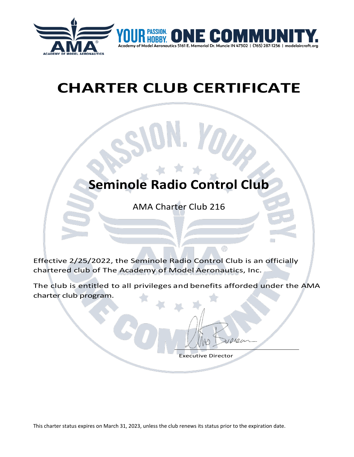

# *CHARTER CLUB CERTIFICATE*

## **Seminole Radio Control Club**

AMA Charter Club 216

Effective 2/25/2022, the Seminole Radio Control Club is an officially chartered club of The Academy of Model Aeronautics, Inc.

The club is entitled to all privileges and benefits afforded under the AMA charter club program.

 $\circledR$ 

 $\overline{\phantom{a}}$ 

Executive Director

This charter status expires on March 31, 2023, unless the club renews its status prior to the expiration date.